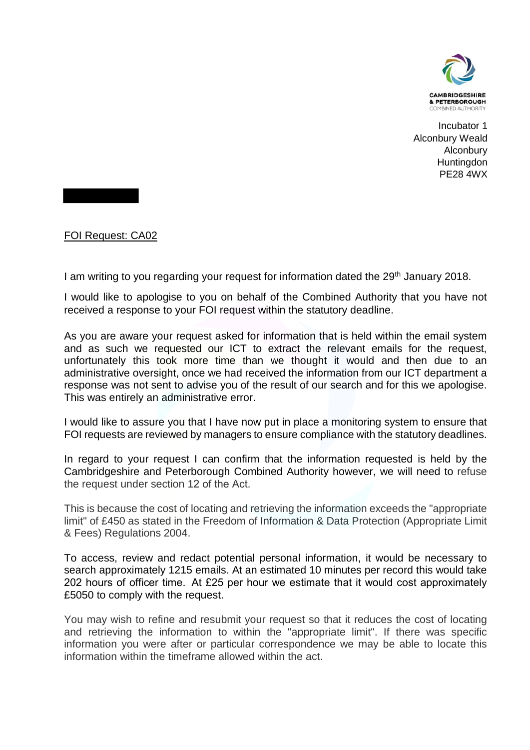

Incubator 1 Alconbury Weald Alconbury **Huntingdon** PE28 4WX

FOI Request: CA02

I am writing to you regarding your request for information dated the 29<sup>th</sup> January 2018.

I would like to apologise to you on behalf of the Combined Authority that you have not received a response to your FOI request within the statutory deadline.

As you are aware your request asked for information that is held within the email system and as such we requested our ICT to extract the relevant emails for the request, unfortunately this took more time than we thought it would and then due to an administrative oversight, once we had received the information from our ICT department a response was not sent to advise you of the result of our search and for this we apologise. This was entirely an administrative error.

I would like to assure you that I have now put in place a monitoring system to ensure that FOI requests are reviewed by managers to ensure compliance with the statutory deadlines.

In regard to your request I can confirm that the information requested is held by the Cambridgeshire and Peterborough Combined Authority however, we will need to refuse the request under section 12 of the Act. 

This is because the cost of locating and retrieving the information exceeds the "appropriate limit" of £450 as stated in the Freedom of Information & Data Protection (Appropriate Limit & Fees) Regulations 2004.

To access, review and redact potential personal information, it would be necessary to search approximately 1215 emails. At an estimated 10 minutes per record this would take 202 hours of officer time.  At £25 per hour we estimate that it would cost approximately £5050 to comply with the request.

You may wish to refine and resubmit your request so that it reduces the cost of locating and retrieving the information to within the "appropriate limit". If there was specific information you were after or particular correspondence we may be able to locate this information within the timeframe allowed within the act.